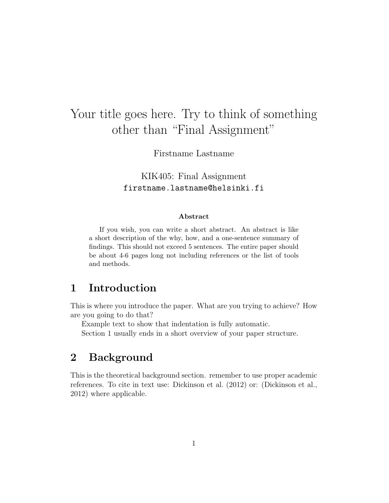# Your title goes here. Try to think of something other than "Final Assignment"

Firstname Lastname

KIK405: Final Assignment firstname.lastname@helsinki.fi

#### Abstract

If you wish, you can write a short abstract. An abstract is like a short description of the why, how, and a one-sentence summary of findings. This should not exceed 5 sentences. The entire paper should be about 4-6 pages long not including references or the list of tools and methods.

#### 1 Introduction

This is where you introduce the paper. What are you trying to achieve? How are you going to do that?

Example text to show that indentation is fully automatic.

Section 1 usually ends in a short overview of your paper structure.

#### 2 Background

This is the theoretical background section. remember to use proper academic references. To cite in text use: Dickinson et al. (2012) or: (Dickinson et al., 2012) where applicable.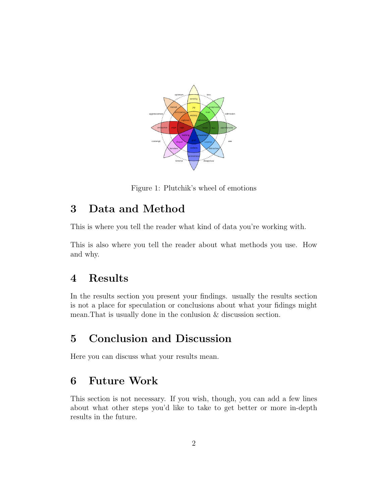

Figure 1: Plutchik's wheel of emotions

### 3 Data and Method

This is where you tell the reader what kind of data you're working with.

This is also where you tell the reader about what methods you use. How and why.

#### 4 Results

In the results section you present your findings. usually the results section is not a place for speculation or conclusions about what your fidings might mean.That is usually done in the conlusion & discussion section.

## 5 Conclusion and Discussion

Here you can discuss what your results mean.

## 6 Future Work

This section is not necessary. If you wish, though, you can add a few lines about what other steps you'd like to take to get better or more in-depth results in the future.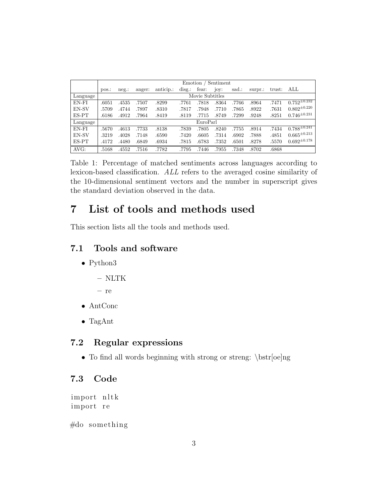|          | Sentiment<br>Emotion, |         |        |           |                         |       |       |       |         |        |                     |
|----------|-----------------------|---------|--------|-----------|-------------------------|-------|-------|-------|---------|--------|---------------------|
|          | DOS.                  | $neg$ : | anger: | anticip.: | $\operatorname{diag}$ : | fear: | joy:  | sad.: | surpr.: | trust: | ALL                 |
| Language | Movie Subtitles       |         |        |           |                         |       |       |       |         |        |                     |
| EN-FI    | .6051                 | .4535   | .7507  | .8299     | .7761                   | .7818 | .8364 | .7766 | .8964   | .7471  | $0.752^{\pm 0.232}$ |
| EN-SV    | .5709                 | .4744   | .7897  | .8310     | .7817                   | .7948 | .7710 | .7865 | .8922   | .7631  | $0.802^{\pm0.220}$  |
| ES-PT    | .6186                 | .4912   | .7964  | .8419     | .8119                   | .7715 | .8749 | .7299 | .9248   | .8251  | $0.746^{\pm0.231}$  |
| Language | EuroParl              |         |        |           |                         |       |       |       |         |        |                     |
| EN-FI    | .5670                 | .4613   | .7733  | .8138     | .7839                   | .7805 | .8240 | .7755 | .8914   | .7434  | $0.788^{\pm 0.241}$ |
| EN-SV    | .3219                 | .4028   | .7148  | .6590     | .7420                   | .6605 | .7314 | .6902 | .7888   | .4851  | $0.665^{\pm0.213}$  |
| ES-PT    | .4172                 | .4480   | .6849  | .6934     | .7815                   | .6783 | .7352 | .6501 | .8278   | .5570  | $0.692^{\pm0.178}$  |
| AVG:     | .5168                 | .4552   | .7516  | .7782     | .7795                   | .7446 | .7955 | .7348 | .8702   | .6868  |                     |

Table 1: Percentage of matched sentiments across languages according to lexicon-based classification. ALL refers to the averaged cosine similarity of the 10-dimensional sentiment vectors and the number in superscript gives the standard deviation observed in the data.

## 7 List of tools and methods used

This section lists all the tools and methods used.

#### 7.1 Tools and software

- Python3
	- NLTK
	- re
- AntConc
- TagAnt

#### 7.2 Regular expressions

• To find all words beginning with strong or streng: \bstr[oe]ng

#### 7.3 Code

import nltk import re

#do something